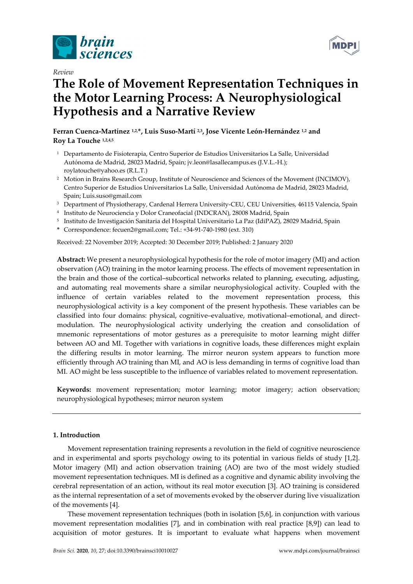

*Review* 

# **The Role of Movement Representation Techniques in the Motor Learning Process: A Neurophysiological Hypothesis and a Narrative Review**

Ferran Cuenca-Martínez <sup>1,2,\*</sup>, Luis Suso-Martí <sup>2,3</sup>, Jose Vicente León-Hernández <sup>1,2</sup> and **Roy La Touche 1,2,4,5**

- 1 Departamento de Fisioterapia, Centro Superior de Estudios Universitarios La Salle, Universidad Autónoma de Madrid, 28023 Madrid, Spain; jv.leon@lasallecampus.es (J.V.L.-H.); roylatouche@yahoo.es (R.L.T.)
- <sup>2</sup> Motion in Brains Research Group, Institute of Neuroscience and Sciences of the Movement (INCIMOV), Centro Superior de Estudios Universitarios La Salle, Universidad Autónoma de Madrid, 28023 Madrid, Spain; Luis.suso@gmail.com
- 3 Department of Physiotherapy, Cardenal Herrera University-CEU, CEU Universities, 46115 Valencia, Spain
- 4 Instituto de Neurociencia y Dolor Craneofacial (INDCRAN), 28008 Madrid, Spain
- 5 Instituto de Investigación Sanitaria del Hospital Universitario La Paz (IdiPAZ), 28029 Madrid, Spain
- **\*** Correspondence: fecuen2@gmail.com; Tel.: +34-91-740-1980 (ext. 310)

Received: 22 November 2019; Accepted: 30 December 2019; Published: 2 January 2020

**Abstract:** We present a neurophysiological hypothesis for the role of motor imagery (MI) and action observation (AO) training in the motor learning process. The effects of movement representation in the brain and those of the cortical–subcortical networks related to planning, executing, adjusting, and automating real movements share a similar neurophysiological activity. Coupled with the influence of certain variables related to the movement representation process, this neurophysiological activity is a key component of the present hypothesis. These variables can be classified into four domains: physical, cognitive–evaluative, motivational–emotional, and directmodulation. The neurophysiological activity underlying the creation and consolidation of mnemonic representations of motor gestures as a prerequisite to motor learning might differ between AO and MI. Together with variations in cognitive loads, these differences might explain the differing results in motor learning. The mirror neuron system appears to function more efficiently through AO training than MI, and AO is less demanding in terms of cognitive load than MI. AO might be less susceptible to the influence of variables related to movement representation.

**Keywords:** movement representation; motor learning; motor imagery; action observation; neurophysiological hypotheses; mirror neuron system

## **1. Introduction**

Movement representation training represents a revolution in the field of cognitive neuroscience and in experimental and sports psychology owing to its potential in various fields of study [1,2]. Motor imagery (MI) and action observation training (AO) are two of the most widely studied movement representation techniques. MI is defined as a cognitive and dynamic ability involving the cerebral representation of an action, without its real motor execution [3]. AO training is considered as the internal representation of a set of movements evoked by the observer during live visualization of the movements [4].

These movement representation techniques (both in isolation [5,6], in conjunction with various movement representation modalities [7], and in combination with real practice [8,9]) can lead to acquisition of motor gestures. It is important to evaluate what happens when movement

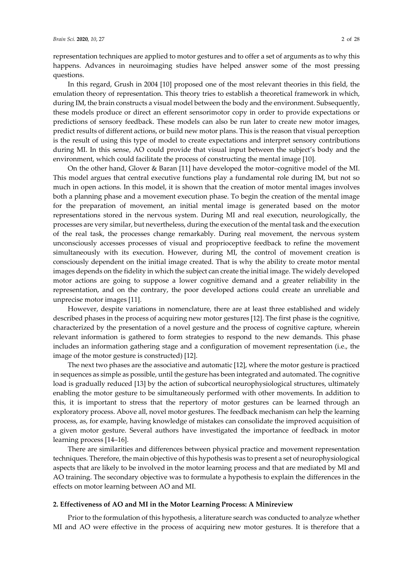representation techniques are applied to motor gestures and to offer a set of arguments as to why this happens. Advances in neuroimaging studies have helped answer some of the most pressing questions.

In this regard, Grush in 2004 [10] proposed one of the most relevant theories in this field, the emulation theory of representation. This theory tries to establish a theoretical framework in which, during IM, the brain constructs a visual model between the body and the environment. Subsequently, these models produce or direct an efferent sensorimotor copy in order to provide expectations or predictions of sensory feedback. These models can also be run later to create new motor images, predict results of different actions, or build new motor plans. This is the reason that visual perception is the result of using this type of model to create expectations and interpret sensory contributions during MI. In this sense, AO could provide that visual input between the subject's body and the environment, which could facilitate the process of constructing the mental image [10].

On the other hand, Glover & Baran [11] have developed the motor–cognitive model of the MI. This model argues that central executive functions play a fundamental role during IM, but not so much in open actions. In this model, it is shown that the creation of motor mental images involves both a planning phase and a movement execution phase. To begin the creation of the mental image for the preparation of movement, an initial mental image is generated based on the motor representations stored in the nervous system. During MI and real execution, neurologically, the processes are very similar, but nevertheless, during the execution of the mental task and the execution of the real task, the processes change remarkably. During real movement, the nervous system unconsciously accesses processes of visual and proprioceptive feedback to refine the movement simultaneously with its execution. However, during MI, the control of movement creation is consciously dependent on the initial image created. That is why the ability to create motor mental images depends on the fidelity in which the subject can create the initial image. The widely developed motor actions are going to suppose a lower cognitive demand and a greater reliability in the representation, and on the contrary, the poor developed actions could create an unreliable and unprecise motor images [11].

However, despite variations in nomenclature, there are at least three established and widely described phases in the process of acquiring new motor gestures [12]. The first phase is the cognitive, characterized by the presentation of a novel gesture and the process of cognitive capture, wherein relevant information is gathered to form strategies to respond to the new demands. This phase includes an information gathering stage and a configuration of movement representation (i.e., the image of the motor gesture is constructed) [12].

The next two phases are the associative and automatic [12], where the motor gesture is practiced in sequences as simple as possible, until the gesture has been integrated and automated. The cognitive load is gradually reduced [13] by the action of subcortical neurophysiological structures, ultimately enabling the motor gesture to be simultaneously performed with other movements. In addition to this, it is important to stress that the repertory of motor gestures can be learned through an exploratory process. Above all, novel motor gestures. The feedback mechanism can help the learning process, as, for example, having knowledge of mistakes can consolidate the improved acquisition of a given motor gesture. Several authors have investigated the importance of feedback in motor learning process [14–16].

There are similarities and differences between physical practice and movement representation techniques. Therefore, the main objective of this hypothesis was to present a set of neurophysiological aspects that are likely to be involved in the motor learning process and that are mediated by MI and AO training. The secondary objective was to formulate a hypothesis to explain the differences in the effects on motor learning between AO and MI.

## **2. Effectiveness of AO and MI in the Motor Learning Process: A Minireview**

Prior to the formulation of this hypothesis, a literature search was conducted to analyze whether MI and AO were effective in the process of acquiring new motor gestures. It is therefore that a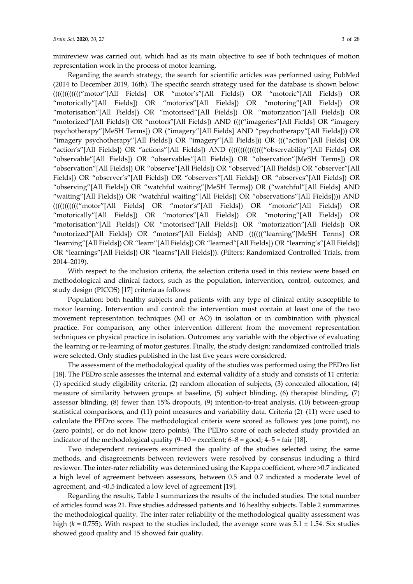minireview was carried out, which had as its main objective to see if both techniques of motion representation work in the process of motor learning.

Regarding the search strategy, the search for scientific articles was performed using PubMed (2014 to December 2019, 16th). The specific search strategy used for the database is shown below: (((((((((((("motor"[All Fields] OR "motor's"[All Fields]) OR "motoric"[All Fields]) OR "motorically"[All Fields]) OR "motorics"[All Fields]) OR "motoring"[All Fields]) OR "motorisation"[All Fields]) OR "motorised"[All Fields]) OR "motorization"[All Fields]) OR "motorized"[All Fields]) OR "motors"[All Fields]) AND (((("imageries"[All Fields] OR "imagery psychotherapy"[MeSH Terms]) OR ("imagery"[All Fields] AND "psychotherapy"[All Fields])) OR "imagery psychotherapy"[All Fields]) OR "imagery"[All Fields])) OR ((("action"[All Fields] OR "action's"[All Fields]) OR "actions"[All Fields]) AND ((((((((((((((((('observability"[All Fields] OR "observable"[All Fields]) OR "observables"[All Fields]) OR "observation"[MeSH Terms]) OR "observation"[All Fields]) OR "observe"[All Fields]) OR "observed"[All Fields]) OR "observer"[All Fields]) OR "observer's"[All Fields]) OR "observers"[All Fields]) OR "observes"[All Fields]) OR "observing"[All Fields]) OR "watchful waiting"[MeSH Terms]) OR ("watchful"[All Fields] AND "waiting"[All Fields])) OR "watchful waiting"[All Fields]) OR "observations"[All Fields]))) AND ((((((((((("motor"[All Fields] OR "motor's"[All Fields]) OR "motoric"[All Fields]) OR "motorically"[All Fields]) OR "motorics"[All Fields]) OR "motoring"[All Fields]) OR "motorisation"[All Fields]) OR "motorised"[All Fields]) OR "motorization"[All Fields]) OR "motorized"[All Fields]) OR "motors"[All Fields]) AND (((((("learning"[MeSH Terms] OR "learning"[All Fields]) OR "learn"[All Fields]) OR "learned"[All Fields]) OR "learning's"[All Fields]) OR "learnings"[All Fields]) OR "learns"[All Fields])). (Filters: Randomized Controlled Trials, from 2014–2019).

With respect to the inclusion criteria, the selection criteria used in this review were based on methodological and clinical factors, such as the population, intervention, control, outcomes, and study design (PICOS) [17] criteria as follows:

Population: both healthy subjects and patients with any type of clinical entity susceptible to motor learning. Intervention and control: the intervention must contain at least one of the two movement representation techniques (MI or AO) in isolation or in combination with physical practice. For comparison, any other intervention different from the movement representation techniques or physical practice in isolation. Outcomes: any variable with the objective of evaluating the learning or re-learning of motor gestures. Finally, the study design: randomized controlled trials were selected. Only studies published in the last five years were considered.

The assessment of the methodological quality of the studies was performed using the PEDro list [18]. The PEDro scale assesses the internal and external validity of a study and consists of 11 criteria: (1) specified study eligibility criteria, (2) random allocation of subjects, (3) concealed allocation, (4) measure of similarity between groups at baseline, (5) subject blinding, (6) therapist blinding, (7) assessor blinding, (8) fewer than 15% dropouts, (9) intention-to-treat analysis, (10) between-group statistical comparisons, and (11) point measures and variability data. Criteria (2)–(11) were used to calculate the PEDro score. The methodological criteria were scored as follows: yes (one point), no (zero points), or do not know (zero points). The PEDro score of each selected study provided an indicator of the methodological quality  $(9-10 =$  excellent;  $6-8 =$  good;  $4-5 =$  fair [18].

Two independent reviewers examined the quality of the studies selected using the same methods, and disagreements between reviewers were resolved by consensus including a third reviewer. The inter-rater reliability was determined using the Kappa coefficient, where >0.7 indicated a high level of agreement between assessors, between 0.5 and 0.7 indicated a moderate level of agreement, and <0.5 indicated a low level of agreement [19].

Regarding the results, Table 1 summarizes the results of the included studies. The total number of articles found was 21. Five studies addressed patients and 16 healthy subjects. Table 2 summarizes the methodological quality. The inter-rater reliability of the methodological quality assessment was high ( $k = 0.755$ ). With respect to the studies included, the average score was  $5.1 \pm 1.54$ . Six studies showed good quality and 15 showed fair quality.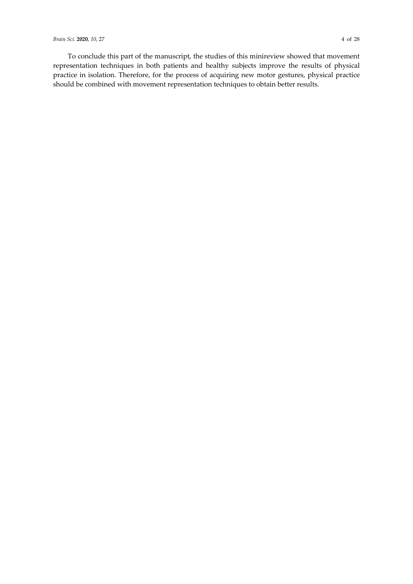To conclude this part of the manuscript, the studies of this minireview showed that movement representation techniques in both patients and healthy subjects improve the results of physical practice in isolation. Therefore, for the process of acquiring new motor gestures, physical practice should be combined with movement representation techniques to obtain better results.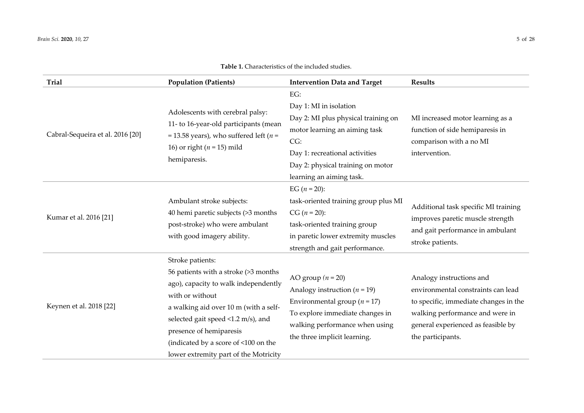| <b>Trial</b>                     | <b>Population (Patients)</b>                                                                                                                                                                                                                                                                                   | <b>Intervention Data and Target</b>                                                                                                                                                                             | <b>Results</b>                                                                                                                                                                                        |
|----------------------------------|----------------------------------------------------------------------------------------------------------------------------------------------------------------------------------------------------------------------------------------------------------------------------------------------------------------|-----------------------------------------------------------------------------------------------------------------------------------------------------------------------------------------------------------------|-------------------------------------------------------------------------------------------------------------------------------------------------------------------------------------------------------|
| Cabral-Sequeira et al. 2016 [20] | Adolescents with cerebral palsy:<br>11- to 16-year-old participants (mean<br>= 13.58 years), who suffered left ( $n =$<br>16) or right ( $n = 15$ ) mild<br>hemiparesis.                                                                                                                                       | EG:<br>Day 1: MI in isolation<br>Day 2: MI plus physical training on<br>motor learning an aiming task<br>CG:<br>Day 1: recreational activities<br>Day 2: physical training on motor<br>learning an aiming task. | MI increased motor learning as a<br>function of side hemiparesis in<br>comparison with a no MI<br>intervention.                                                                                       |
| Kumar et al. 2016 [21]           | Ambulant stroke subjects:<br>40 hemi paretic subjects (>3 months<br>post-stroke) who were ambulant<br>with good imagery ability.                                                                                                                                                                               | EG $(n = 20)$ :<br>task-oriented training group plus MI<br>$CG (n = 20):$<br>task-oriented training group<br>in paretic lower extremity muscles<br>strength and gait performance.                               | Additional task specific MI training<br>improves paretic muscle strength<br>and gait performance in ambulant<br>stroke patients.                                                                      |
| Keynen et al. 2018 [22]          | Stroke patients:<br>56 patients with a stroke (>3 months<br>ago), capacity to walk independently<br>with or without<br>a walking aid over 10 m (with a self-<br>selected gait speed <1.2 m/s), and<br>presence of hemiparesis<br>(indicated by a score of <100 on the<br>lower extremity part of the Motricity | AO group $(n = 20)$<br>Analogy instruction ( $n = 19$ )<br>Environmental group ( $n = 17$ )<br>To explore immediate changes in<br>walking performance when using<br>the three implicit learning.                | Analogy instructions and<br>environmental constraints can lead<br>to specific, immediate changes in the<br>walking performance and were in<br>general experienced as feasible by<br>the participants. |

## **Table 1.** Characteristics of the included studies.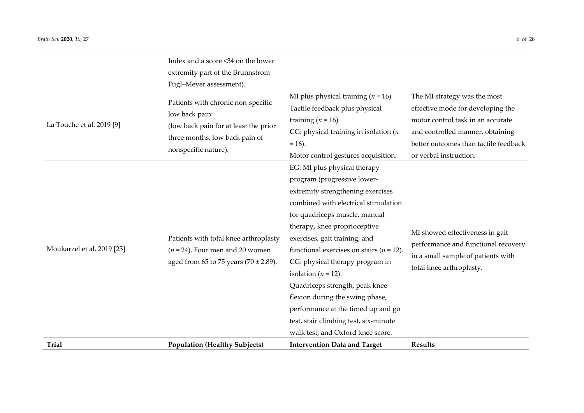| <b>Trial</b>               | <b>Population (Healthy Subjects)</b>      | <b>Intervention Data and Target</b>          | <b>Results</b>                        |
|----------------------------|-------------------------------------------|----------------------------------------------|---------------------------------------|
|                            |                                           | walk test, and Oxford knee score.            |                                       |
|                            |                                           | test, stair climbing test, six-minute        |                                       |
|                            |                                           | performance at the timed up and go           |                                       |
|                            |                                           | flexion during the swing phase,              |                                       |
|                            |                                           | Quadriceps strength, peak knee               |                                       |
|                            |                                           | isolation ( $n = 12$ ).                      | total knee arthroplasty.              |
|                            | aged from 65 to 75 years (70 $\pm$ 2.89). | CG: physical therapy program in              | in a small sample of patients with    |
| Moukarzel et al. 2019 [23] | $(n = 24)$ . Four men and 20 women        | functional exercises on stairs ( $n = 12$ ). | performance and functional recovery   |
|                            | Patients with total knee arthroplasty     | exercises, gait training, and                | MI showed effectiveness in gait       |
|                            |                                           | therapy, knee proprioceptive                 |                                       |
|                            |                                           | for quadriceps muscle, manual                |                                       |
|                            |                                           | combined with electrical stimulation         |                                       |
|                            |                                           | extremity strengthening exercises            |                                       |
|                            |                                           | program (progressive lower-                  |                                       |
|                            |                                           | EG: MI plus physical therapy                 |                                       |
|                            | nonspecific nature).                      | Motor control gestures acquisition.          | or verbal instruction.                |
|                            | three months; low back pain of            | $= 16$ ).                                    | better outcomes than tactile feedback |
| La Touche et al. 2019 [9]  | (low back pain for at least the prior     | CG: physical training in isolation ( $n$     | and controlled manner, obtaining      |
|                            | low back pain:                            | training $(n = 16)$                          | motor control task in an accurate     |
|                            | Patients with chronic non-specific        | Tactile feedback plus physical               | effective mode for developing the     |
|                            |                                           | MI plus physical training $(n = 16)$         | The MI strategy was the most          |
|                            | Fugl-Meyer assessment).                   |                                              |                                       |
|                            | extremity part of the Brunnstrom          |                                              |                                       |
|                            | Index and a score <34 on the lower        |                                              |                                       |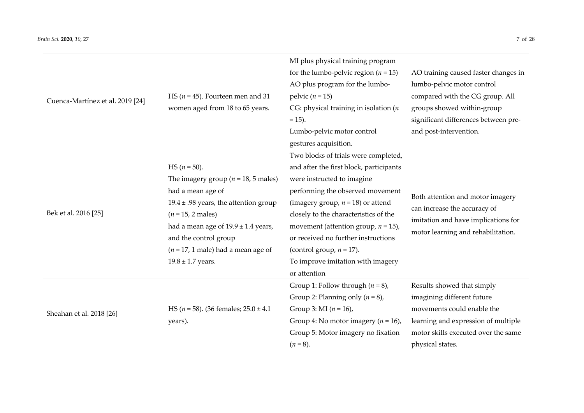| Cuenca-Martínez et al. 2019 [24] | HS ( $n = 45$ ). Fourteen men and 31<br>women aged from 18 to 65 years.                                                                                                                                                                                                                         | MI plus physical training program<br>for the lumbo-pelvic region ( $n = 15$ )<br>AO plus program for the lumbo-<br>pelvic $(n = 15)$<br>CG: physical training in isolation ( $n$<br>$= 15$ ).<br>Lumbo-pelvic motor control<br>gestures acquisition.                                                                                                                                                    | AO training caused faster changes in<br>lumbo-pelvic motor control<br>compared with the CG group. All<br>groups showed within-group<br>significant differences between pre-<br>and post-intervention. |
|----------------------------------|-------------------------------------------------------------------------------------------------------------------------------------------------------------------------------------------------------------------------------------------------------------------------------------------------|---------------------------------------------------------------------------------------------------------------------------------------------------------------------------------------------------------------------------------------------------------------------------------------------------------------------------------------------------------------------------------------------------------|-------------------------------------------------------------------------------------------------------------------------------------------------------------------------------------------------------|
| Bek et al. 2016 [25]             | $HS (n = 50).$<br>The imagery group ( $n = 18$ , 5 males)<br>had a mean age of<br>$19.4 \pm .98$ years, the attention group<br>$(n = 15, 2 \text{ males})$<br>had a mean age of $19.9 \pm 1.4$ years,<br>and the control group<br>$(n = 17, 1$ male) had a mean age of<br>$19.8 \pm 1.7$ years. | Two blocks of trials were completed,<br>and after the first block, participants<br>were instructed to imagine<br>performing the observed movement<br>(imagery group, $n = 18$ ) or attend<br>closely to the characteristics of the<br>movement (attention group, $n = 15$ ),<br>or received no further instructions<br>(control group, $n = 17$ ).<br>To improve imitation with imagery<br>or attention | Both attention and motor imagery<br>can increase the accuracy of<br>imitation and have implications for<br>motor learning and rehabilitation.                                                         |
| Sheahan et al. 2018 [26]         | HS ( $n = 58$ ). (36 females; $25.0 \pm 4.1$<br>years).                                                                                                                                                                                                                                         | Group 1: Follow through $(n = 8)$ ,<br>Group 2: Planning only $(n = 8)$ ,<br>Group 3: MI $(n = 16)$ ,<br>Group 4: No motor imagery $(n = 16)$ ,<br>Group 5: Motor imagery no fixation<br>$(n = 8)$ .                                                                                                                                                                                                    | Results showed that simply<br>imagining different future<br>movements could enable the<br>learning and expression of multiple<br>motor skills executed over the same<br>physical states.              |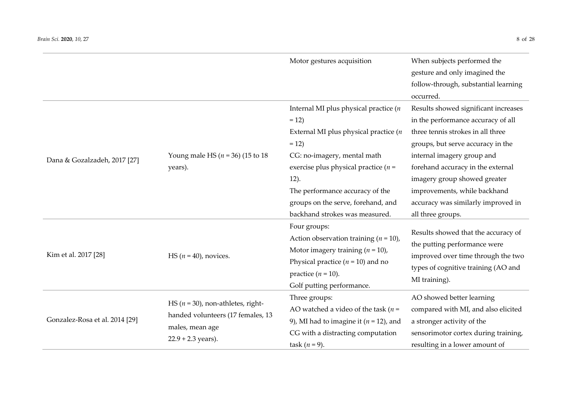|                                                                           |                                                                            | Motor gestures acquisition                                                                                                                                                                                                                                                                            | When subjects performed the<br>gesture and only imagined the<br>follow-through, substantial learning<br>occurred.                                                                                                                                                                                                                                  |
|---------------------------------------------------------------------------|----------------------------------------------------------------------------|-------------------------------------------------------------------------------------------------------------------------------------------------------------------------------------------------------------------------------------------------------------------------------------------------------|----------------------------------------------------------------------------------------------------------------------------------------------------------------------------------------------------------------------------------------------------------------------------------------------------------------------------------------------------|
| Dana & Gozalzadeh, 2017 [27]                                              | Young male HS ( $n = 36$ ) (15 to 18<br>years).                            | Internal MI plus physical practice $(n)$<br>$= 12$<br>External MI plus physical practice $(n)$<br>$= 12$<br>CG: no-imagery, mental math<br>exercise plus physical practice ( $n =$<br>12).<br>The performance accuracy of the<br>groups on the serve, forehand, and<br>backhand strokes was measured. | Results showed significant increases<br>in the performance accuracy of all<br>three tennis strokes in all three<br>groups, but serve accuracy in the<br>internal imagery group and<br>forehand accuracy in the external<br>imagery group showed greater<br>improvements, while backhand<br>accuracy was similarly improved in<br>all three groups. |
| Kim et al. 2017 [28]                                                      | HS $(n = 40)$ , novices.                                                   | Four groups:<br>Action observation training $(n = 10)$ ,<br>Motor imagery training $(n = 10)$ ,<br>Physical practice ( $n = 10$ ) and no<br>practice $(n = 10)$ .<br>Golf putting performance.                                                                                                        | Results showed that the accuracy of<br>the putting performance were<br>improved over time through the two<br>types of cognitive training (AO and<br>MI training).                                                                                                                                                                                  |
| Gonzalez-Rosa et al. 2014 [29]<br>males, mean age<br>$22.9 + 2.3$ years). | HS ( $n = 30$ ), non-athletes, right-<br>handed volunteers (17 females, 13 | Three groups:<br>AO watched a video of the task ( $n =$<br>9), MI had to imagine it ( $n = 12$ ), and<br>CG with a distracting computation<br>task $(n=9)$ .                                                                                                                                          | AO showed better learning<br>compared with MI, and also elicited<br>a stronger activity of the<br>sensorimotor cortex during training,<br>resulting in a lower amount of                                                                                                                                                                           |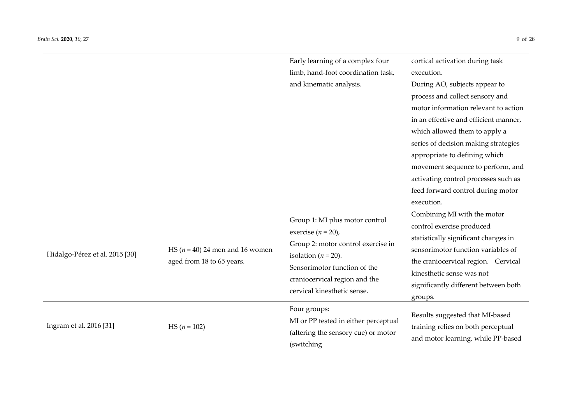|                                |                                                                  | Early learning of a complex four<br>limb, hand-foot coordination task,                                                                                                                                                    | cortical activation during task<br>execution.                                                                                                                                                                                                                                                                                                                                               |
|--------------------------------|------------------------------------------------------------------|---------------------------------------------------------------------------------------------------------------------------------------------------------------------------------------------------------------------------|---------------------------------------------------------------------------------------------------------------------------------------------------------------------------------------------------------------------------------------------------------------------------------------------------------------------------------------------------------------------------------------------|
|                                |                                                                  | and kinematic analysis.                                                                                                                                                                                                   | During AO, subjects appear to<br>process and collect sensory and<br>motor information relevant to action<br>in an effective and efficient manner,<br>which allowed them to apply a<br>series of decision making strategies<br>appropriate to defining which<br>movement sequence to perform, and<br>activating control processes such as<br>feed forward control during motor<br>execution. |
| Hidalgo-Pérez et al. 2015 [30] | HS ( $n = 40$ ) 24 men and 16 women<br>aged from 18 to 65 years. | Group 1: MI plus motor control<br>exercise ( $n = 20$ ),<br>Group 2: motor control exercise in<br>isolation ( $n = 20$ ).<br>Sensorimotor function of the<br>craniocervical region and the<br>cervical kinesthetic sense. | Combining MI with the motor<br>control exercise produced<br>statistically significant changes in<br>sensorimotor function variables of<br>the craniocervical region. Cervical<br>kinesthetic sense was not<br>significantly different between both<br>groups.                                                                                                                               |
| Ingram et al. 2016 [31]        | HS $(n = 102)$                                                   | Four groups:<br>MI or PP tested in either perceptual<br>(altering the sensory cue) or motor<br>(switching                                                                                                                 | Results suggested that MI-based<br>training relies on both perceptual<br>and motor learning, while PP-based                                                                                                                                                                                                                                                                                 |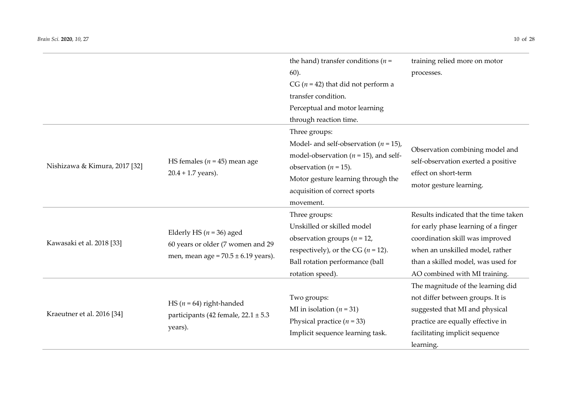|                               |                                         | the hand) transfer conditions ( $n =$     | training relied more on motor         |  |  |
|-------------------------------|-----------------------------------------|-------------------------------------------|---------------------------------------|--|--|
|                               |                                         | $60$ ).                                   | processes.                            |  |  |
|                               |                                         | CG ( $n = 42$ ) that did not perform a    |                                       |  |  |
|                               |                                         | transfer condition.                       |                                       |  |  |
|                               |                                         | Perceptual and motor learning             |                                       |  |  |
|                               |                                         | through reaction time.                    |                                       |  |  |
|                               |                                         | Three groups:                             |                                       |  |  |
|                               |                                         | Model- and self-observation ( $n = 15$ ), |                                       |  |  |
|                               |                                         | model-observation ( $n = 15$ ), and self- | Observation combining model and       |  |  |
| Nishizawa & Kimura, 2017 [32] | HS females ( $n = 45$ ) mean age        | observation ( $n = 15$ ).                 | self-observation exerted a positive   |  |  |
|                               | $20.4 + 1.7$ years).                    | Motor gesture learning through the        | effect on short-term                  |  |  |
|                               |                                         | acquisition of correct sports             | motor gesture learning.               |  |  |
|                               |                                         | movement.                                 |                                       |  |  |
|                               |                                         | Three groups:                             | Results indicated that the time taken |  |  |
|                               |                                         | Unskilled or skilled model                | for early phase learning of a finger  |  |  |
| Kawasaki et al. 2018 [33]     | Elderly HS ( $n = 36$ ) aged            | observation groups ( $n = 12$ )           | coordination skill was improved       |  |  |
|                               | 60 years or older (7 women and 29       | respectively), or the CG ( $n = 12$ ).    | when an unskilled model, rather       |  |  |
|                               | men, mean age = $70.5 \pm 6.19$ years). | Ball rotation performance (ball           | than a skilled model, was used for    |  |  |
|                               |                                         | rotation speed).                          | AO combined with MI training.         |  |  |
|                               |                                         |                                           | The magnitude of the learning did     |  |  |
|                               | HS ( $n = 64$ ) right-handed            | Two groups:                               | not differ between groups. It is      |  |  |
| Kraeutner et al. 2016 [34]    |                                         | MI in isolation ( $n = 31$ )              | suggested that MI and physical        |  |  |
|                               | participants (42 female, 22.1 ± 5.3     | Physical practice $(n = 33)$              | practice are equally effective in     |  |  |
|                               | years).                                 | Implicit sequence learning task.          | facilitating implicit sequence        |  |  |
|                               |                                         |                                           | learning.                             |  |  |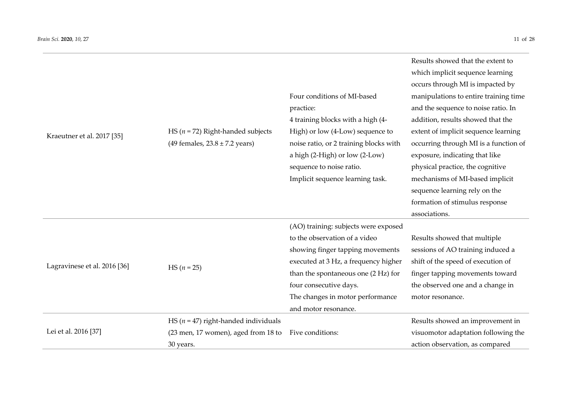| Kraeutner et al. 2017 [35]                    | HS ( $n = 72$ ) Right-handed subjects<br>(49 females, $23.8 \pm 7.2$ years)     | Four conditions of MI-based<br>practice:<br>4 training blocks with a high (4-<br>High) or low (4-Low) sequence to<br>noise ratio, or 2 training blocks with<br>a high (2-High) or low (2-Low)<br>sequence to noise ratio.<br>Implicit sequence learning task.                  | Results showed that the extent to<br>which implicit sequence learning<br>occurs through MI is impacted by<br>manipulations to entire training time<br>and the sequence to noise ratio. In<br>addition, results showed that the<br>extent of implicit sequence learning<br>occurring through MI is a function of<br>exposure, indicating that like<br>physical practice, the cognitive<br>mechanisms of MI-based implicit<br>sequence learning rely on the<br>formation of stimulus response<br>associations. |
|-----------------------------------------------|---------------------------------------------------------------------------------|--------------------------------------------------------------------------------------------------------------------------------------------------------------------------------------------------------------------------------------------------------------------------------|--------------------------------------------------------------------------------------------------------------------------------------------------------------------------------------------------------------------------------------------------------------------------------------------------------------------------------------------------------------------------------------------------------------------------------------------------------------------------------------------------------------|
| Lagravinese et al. 2016 [36]<br>$HS (n = 25)$ |                                                                                 | (AO) training: subjects were exposed<br>to the observation of a video<br>showing finger tapping movements<br>executed at 3 Hz, a frequency higher<br>than the spontaneous one (2 Hz) for<br>four consecutive days.<br>The changes in motor performance<br>and motor resonance. | Results showed that multiple<br>sessions of AO training induced a<br>shift of the speed of execution of<br>finger tapping movements toward<br>the observed one and a change in<br>motor resonance.                                                                                                                                                                                                                                                                                                           |
| Lei et al. 2016 [37]                          | HS ( $n = 47$ ) right-handed individuals<br>(23 men, 17 women), aged from 18 to | Five conditions:                                                                                                                                                                                                                                                               | Results showed an improvement in<br>visuomotor adaptation following the                                                                                                                                                                                                                                                                                                                                                                                                                                      |

(23 men, 17 women), aged from 18 to Five conditions:

30 years.

| visuomotor adaptation following the |
|-------------------------------------|
| action observation, as compared     |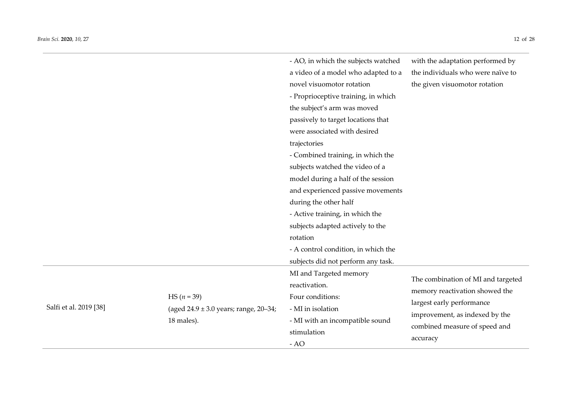Salfi et al. 2019 [38]

|                                                                          | - AO, in which the subjects watched<br>a video of a model who adapted to a<br>novel visuomotor rotation<br>- Proprioceptive training, in which<br>the subject's arm was moved<br>passively to target locations that<br>were associated with desired<br>trajectories<br>- Combined training, in which the<br>subjects watched the video of a<br>model during a half of the session<br>and experienced passive movements<br>during the other half<br>- Active training, in which the<br>subjects adapted actively to the<br>rotation<br>- A control condition, in which the<br>subjects did not perform any task. | with the adaptation performed by<br>the individuals who were naïve to<br>the given visuomotor rotation                              |
|--------------------------------------------------------------------------|-----------------------------------------------------------------------------------------------------------------------------------------------------------------------------------------------------------------------------------------------------------------------------------------------------------------------------------------------------------------------------------------------------------------------------------------------------------------------------------------------------------------------------------------------------------------------------------------------------------------|-------------------------------------------------------------------------------------------------------------------------------------|
| HS $(n = 39)$<br>(aged $24.9 \pm 3.0$ years; range, 20-34;<br>18 males). | MI and Targeted memory<br>reactivation.<br>Four conditions:<br>- MI in isolation<br>- MI with an incompatible sound                                                                                                                                                                                                                                                                                                                                                                                                                                                                                             | The combination of MI and targeted<br>memory reactivation showed the<br>largest early performance<br>improvement, as indexed by the |

stimulation

- AO

combined measure of speed and

accuracy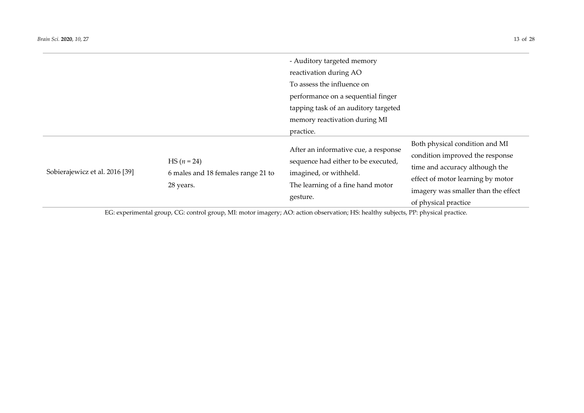|                                |                                                                  | - Auditory targeted memory                                                                                                                             |                                                                                                                                                                                                         |
|--------------------------------|------------------------------------------------------------------|--------------------------------------------------------------------------------------------------------------------------------------------------------|---------------------------------------------------------------------------------------------------------------------------------------------------------------------------------------------------------|
|                                |                                                                  | reactivation during AO                                                                                                                                 |                                                                                                                                                                                                         |
|                                |                                                                  | To assess the influence on                                                                                                                             |                                                                                                                                                                                                         |
|                                |                                                                  | performance on a sequential finger                                                                                                                     |                                                                                                                                                                                                         |
|                                |                                                                  | tapping task of an auditory targeted                                                                                                                   |                                                                                                                                                                                                         |
|                                |                                                                  | memory reactivation during MI                                                                                                                          |                                                                                                                                                                                                         |
|                                |                                                                  | practice.                                                                                                                                              |                                                                                                                                                                                                         |
| Sobierajewicz et al. 2016 [39] | $HS (n = 24)$<br>6 males and 18 females range 21 to<br>28 years. | After an informative cue, a response<br>sequence had either to be executed,<br>imagined, or withheld.<br>The learning of a fine hand motor<br>gesture. | Both physical condition and MI<br>condition improved the response<br>time and accuracy although the<br>effect of motor learning by motor<br>imagery was smaller than the effect<br>of physical practice |

EG: experimental group, CG: control group, MI: motor imagery; AO: action observation; HS: healthy subjects, PP: physical practice.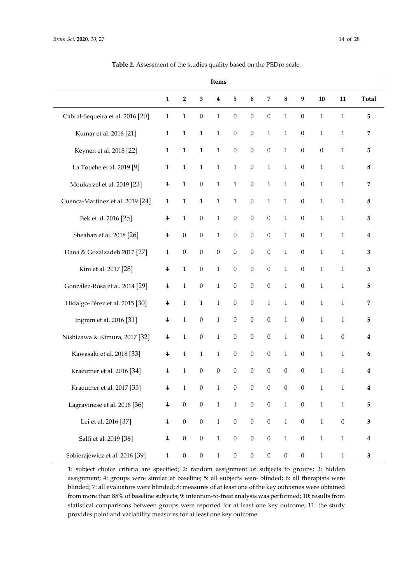| Items                            |                |                  |                  |                  |                  |                  |                  |                  |                  |                  |                  |              |
|----------------------------------|----------------|------------------|------------------|------------------|------------------|------------------|------------------|------------------|------------------|------------------|------------------|--------------|
|                                  | $\mathbf{1}$   | $\overline{2}$   | 3                | $\boldsymbol{4}$ | $\overline{5}$   | 6                | 7                | 8                | 9                | 10               | 11               | <b>Total</b> |
| Cabral-Sequeira et al. 2016 [20] | $\ddagger$     | $\mathbf{1}$     | $\boldsymbol{0}$ | $\mathbf{1}$     | $\boldsymbol{0}$ | $\boldsymbol{0}$ | $\boldsymbol{0}$ | $\mathbf{1}$     | $\boldsymbol{0}$ | $\mathbf{1}$     | $\mathbf{1}$     | 5            |
| Kumar et al. 2016 [21]           | $\ddagger$     | $\mathbf{1}$     | $\mathbf{1}$     | $\mathbf{1}$     | $\theta$         | $\theta$         | $\mathbf{1}$     | $\mathbf{1}$     | $\mathbf{0}$     | $\mathbf{1}$     | $\mathbf{1}$     | 7            |
| Keynen et al. 2018 [22]          | $\overline{1}$ | $\mathbf{1}$     | $\mathbf{1}$     | $\mathbf{1}$     | $\boldsymbol{0}$ | $\boldsymbol{0}$ | $\boldsymbol{0}$ | $\mathbf{1}$     | $\boldsymbol{0}$ | $\boldsymbol{0}$ | $\mathbf{1}$     | 5            |
| La Touche et al. 2019 [9]        | $\ddagger$     | $\mathbf{1}$     | $\mathbf{1}$     | $\mathbf{1}$     | $\mathbf{1}$     | $\boldsymbol{0}$ | $\mathbf{1}$     | $\mathbf{1}$     | $\boldsymbol{0}$ | $\mathbf{1}$     | $\mathbf{1}$     | 8            |
| Moukarzel et al. 2019 [23]       | $\ddagger$     | $\mathbf{1}$     | $\boldsymbol{0}$ | $\mathbf{1}$     | $\mathbf{1}$     | $\boldsymbol{0}$ | $\mathbf{1}$     | $\mathbf{1}$     | $\boldsymbol{0}$ | $\mathbf{1}$     | $\mathbf{1}$     | 7            |
| Cuenca-Martínez et al. 2019 [24] | $\ddagger$     | $\mathbf{1}$     | $\mathbf{1}$     | $\mathbf{1}$     | $\mathbf{1}$     | $\mathbf{0}$     | $\mathbf{1}$     | $\mathbf{1}$     | $\mathbf{0}$     | $\mathbf{1}$     | $\mathbf{1}$     | 8            |
| Bek et al. 2016 [25]             | $\ddagger$     | $\mathbf{1}$     | $\boldsymbol{0}$ | $\mathbf{1}$     | $\boldsymbol{0}$ | $\boldsymbol{0}$ | $\boldsymbol{0}$ | $\mathbf{1}$     | $\boldsymbol{0}$ | $\mathbf{1}$     | $\mathbf{1}$     | 5            |
| Sheahan et al. 2018 [26]         | $\ddagger$     | $\boldsymbol{0}$ | $\overline{0}$   | $\mathbf{1}$     | $\boldsymbol{0}$ | $\boldsymbol{0}$ | $\boldsymbol{0}$ | $\mathbf{1}$     | $\boldsymbol{0}$ | $\mathbf{1}$     | $\mathbf{1}$     | 4            |
| Dana & Gozalzadeh 2017 [27]      | 1              | $\boldsymbol{0}$ | $\boldsymbol{0}$ | $\boldsymbol{0}$ | $\boldsymbol{0}$ | $\boldsymbol{0}$ | $\boldsymbol{0}$ | $\mathbf{1}$     | $\boldsymbol{0}$ | $\mathbf{1}$     | $\mathbf 1$      | 3            |
| Kim et al. 2017 [28]             | $\ddagger$     | $\mathbf{1}$     | $\boldsymbol{0}$ | $\mathbf{1}$     | $\boldsymbol{0}$ | $\boldsymbol{0}$ | $\boldsymbol{0}$ | $\mathbf{1}$     | $\boldsymbol{0}$ | $\mathbf 1$      | $\mathbf{1}$     | 5            |
| González-Rosa et al. 2014 [29]   | $\ddagger$     | $\mathbf{1}$     | $\boldsymbol{0}$ | $\mathbf{1}$     | $\boldsymbol{0}$ | $\boldsymbol{0}$ | $\boldsymbol{0}$ | $\mathbf{1}$     | $\boldsymbol{0}$ | $\mathbf{1}$     | $\mathbf{1}$     | 5            |
| Hidalgo-Pérez et al. 2015 [30]   | $\ddagger$     | $\mathbf{1}$     | $\mathbf{1}$     | $\mathbf{1}$     | $\boldsymbol{0}$ | $\boldsymbol{0}$ | $\mathbf{1}$     | $\mathbf{1}$     | $\boldsymbol{0}$ | $\mathbf{1}$     | $\mathbf{1}$     | 7            |
| Ingram et al. 2016 [31]          | $\overline{1}$ | $\mathbf{1}$     | $\overline{0}$   | $\mathbf{1}$     | $\theta$         | $\theta$         | $\theta$         | $\mathbf{1}$     | $\theta$         | $\mathbf{1}$     | $\mathbf{1}$     | 5            |
| Nishizawa & Kimura, 2017 [32]    | $\ddagger$     | $\mathbf{1}$     | $\boldsymbol{0}$ | $\mathbf 1$      | $\boldsymbol{0}$ | $\boldsymbol{0}$ | $\boldsymbol{0}$ | $\mathbf{1}$     | $\mathbf{0}$     | $\mathbf{1}$     | $\boldsymbol{0}$ | 4            |
| Kawasaki et al. 2018 [33]        | $\ddagger$     | $\mathbf{1}$     | $\mathbf{1}$     | $\mathbf{1}$     | $\boldsymbol{0}$ | $\boldsymbol{0}$ | $\boldsymbol{0}$ | $\mathbf{1}$     | $\boldsymbol{0}$ | $\mathbf{1}$     | $\mathbf{1}$     | 6            |
| Kraeutner et al. 2016 [34]       | $\ddagger$     | $\mathbf{1}$     | $\overline{0}$   | $\boldsymbol{0}$ | $\boldsymbol{0}$ | $\boldsymbol{0}$ | $\boldsymbol{0}$ | $\boldsymbol{0}$ | $\boldsymbol{0}$ | $\mathbf{1}$     | $\mathbf{1}$     | 4            |
| Kraeutner et al. 2017 [35]       | $\ddagger$     | $\mathbf{1}$     | $\boldsymbol{0}$ | $\mathbf{1}$     | $\theta$         | $\theta$         | $\theta$         | $\mathbf{0}$     | $\boldsymbol{0}$ | $\mathbf{1}$     | $\mathbf{1}$     | 4            |
| Lagravinese et al. 2016 [36]     | $\ddagger$     | $\boldsymbol{0}$ | $\boldsymbol{0}$ | $\mathbf 1$      | $\mathbf 1$      | $\boldsymbol{0}$ | $\boldsymbol{0}$ | $\mathbf 1$      | $\boldsymbol{0}$ | $\mathbf 1$      | $\mathbf{1}$     | 5            |
| Lei et al. 2016 [37]             | $\overline{1}$ | $\boldsymbol{0}$ | $\boldsymbol{0}$ | $\mathbf{1}$     | $\boldsymbol{0}$ | $\boldsymbol{0}$ | $\boldsymbol{0}$ | $\mathbf{1}$     | $\boldsymbol{0}$ | $\mathbf{1}$     | $\boldsymbol{0}$ | 3            |

**Table 2.** Assessment of the studies quality based on the PEDro scale.

1: subject choice criteria are specified; 2: random assignment of subjects to groups; 3: hidden assignment; 4: groups were similar at baseline; 5: all subjects were blinded; 6: all therapists were blinded; 7: all evaluators were blinded; 8: measures of at least one of the key outcomes were obtained from more than 85% of baseline subjects; 9: intention-to-treat analysis was performed; 10: results from statistical comparisons between groups were reported for at least one key outcome; 11: the study provides point and variability measures for at least one key outcome.

Salfi et al. 2019 [38]  $\qquad \qquad$  4 0 0 1 0 0 0 0 1 0 1 1 4

Sobierajewicz et al. 2016 [39]  $\qquad 4 \qquad 0 \qquad 0 \qquad 1 \qquad 0 \qquad 0 \qquad 0 \qquad 0 \qquad 0 \qquad 1 \qquad 1 \qquad 3$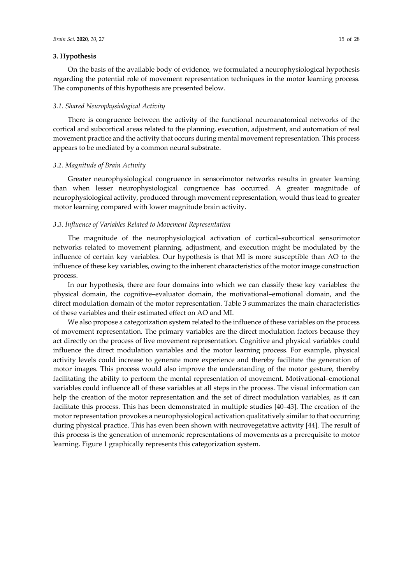## **3. Hypothesis**

On the basis of the available body of evidence, we formulated a neurophysiological hypothesis regarding the potential role of movement representation techniques in the motor learning process. The components of this hypothesis are presented below.

#### *3.1. Shared Neurophysiological Activity*

There is congruence between the activity of the functional neuroanatomical networks of the cortical and subcortical areas related to the planning, execution, adjustment, and automation of real movement practice and the activity that occurs during mental movement representation. This process appears to be mediated by a common neural substrate.

#### *3.2. Magnitude of Brain Activity*

Greater neurophysiological congruence in sensorimotor networks results in greater learning than when lesser neurophysiological congruence has occurred. A greater magnitude of neurophysiological activity, produced through movement representation, would thus lead to greater motor learning compared with lower magnitude brain activity.

## *3.3. Influence of Variables Related to Movement Representation*

The magnitude of the neurophysiological activation of cortical–subcortical sensorimotor networks related to movement planning, adjustment, and execution might be modulated by the influence of certain key variables. Our hypothesis is that MI is more susceptible than AO to the influence of these key variables, owing to the inherent characteristics of the motor image construction process.

In our hypothesis, there are four domains into which we can classify these key variables: the physical domain, the cognitive–evaluator domain, the motivational–emotional domain, and the direct modulation domain of the motor representation. Table 3 summarizes the main characteristics of these variables and their estimated effect on AO and MI.

We also propose a categorization system related to the influence of these variables on the process of movement representation. The primary variables are the direct modulation factors because they act directly on the process of live movement representation. Cognitive and physical variables could influence the direct modulation variables and the motor learning process. For example, physical activity levels could increase to generate more experience and thereby facilitate the generation of motor images. This process would also improve the understanding of the motor gesture, thereby facilitating the ability to perform the mental representation of movement. Motivational–emotional variables could influence all of these variables at all steps in the process. The visual information can help the creation of the motor representation and the set of direct modulation variables, as it can facilitate this process. This has been demonstrated in multiple studies [40–43]. The creation of the motor representation provokes a neurophysiological activation qualitatively similar to that occurring during physical practice. This has even been shown with neurovegetative activity [44]. The result of this process is the generation of mnemonic representations of movements as a prerequisite to motor learning. Figure 1 graphically represents this categorization system.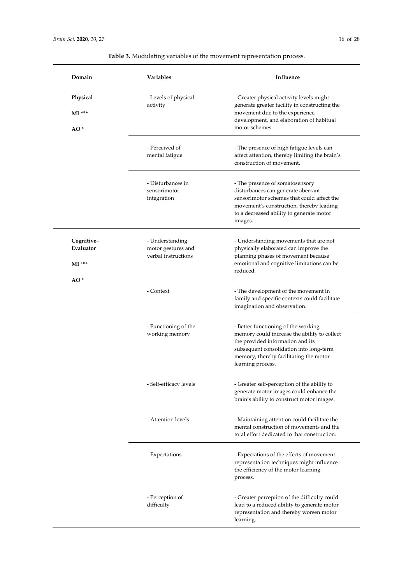| Domain                              | Variables                                                    | Influence                                                                                                                                                                                                                         |
|-------------------------------------|--------------------------------------------------------------|-----------------------------------------------------------------------------------------------------------------------------------------------------------------------------------------------------------------------------------|
| Physical<br>$MI$ ***<br>$AO*$       | - Levels of physical<br>activity                             | - Greater physical activity levels might<br>generate greater facility in constructing the<br>movement due to the experience,<br>development, and elaboration of habitual<br>motor schemes.                                        |
|                                     | - Perceived of<br>mental fatigue                             | - The presence of high fatigue levels can<br>affect attention, thereby limiting the brain's<br>construction of movement.                                                                                                          |
|                                     | - Disturbances in<br>sensorimotor<br>integration             | - The presence of somatosensory<br>disturbances can generate aberrant<br>sensorimotor schemes that could affect the<br>movement's construction, thereby leading<br>to a decreased ability to generate motor<br>images.            |
| Cognitive-<br>Evaluator<br>$MI$ *** | - Understanding<br>motor gestures and<br>verbal instructions | - Understanding movements that are not<br>physically elaborated can improve the<br>planning phases of movement because<br>emotional and cognitive limitations can be<br>reduced.                                                  |
| AO <sup>*</sup>                     | - Context                                                    | - The development of the movement in<br>family and specific contexts could facilitate<br>imagination and observation.                                                                                                             |
|                                     | - Functioning of the<br>working memory                       | - Better functioning of the working<br>memory could increase the ability to collect<br>the provided information and its<br>subsequent consolidation into long-term<br>memory, thereby facilitating the motor<br>learning process. |
|                                     | - Self-efficacy levels                                       | - Greater self-perception of the ability to<br>generate motor images could enhance the<br>brain's ability to construct motor images.                                                                                              |
|                                     | - Attention levels                                           | - Maintaining attention could facilitate the<br>mental construction of movements and the<br>total effort dedicated to that construction.                                                                                          |
|                                     | - Expectations                                               | - Expectations of the effects of movement<br>representation techniques might influence<br>the efficiency of the motor learning<br>process.                                                                                        |
|                                     | - Perception of<br>difficulty                                | - Greater perception of the difficulty could<br>lead to a reduced ability to generate motor<br>representation and thereby worsen motor<br>learning.                                                                               |

**Table 3.** Modulating variables of the movement representation process.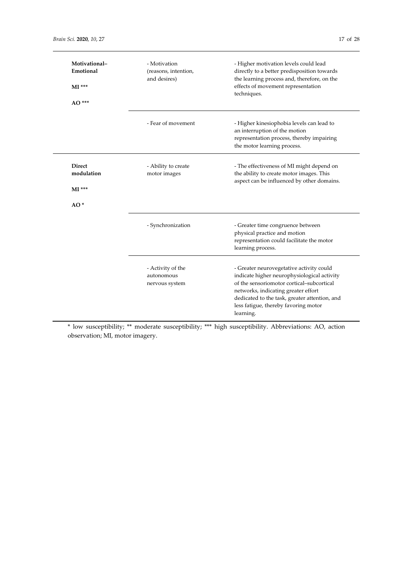| Motivational-<br>Emotional<br>$MI$ ***<br>AO***  | - Motivation<br>(reasons, intention,<br>and desires) | - Higher motivation levels could lead<br>directly to a better predisposition towards<br>the learning process and, therefore, on the<br>effects of movement representation<br>techniques.                                                                                          |
|--------------------------------------------------|------------------------------------------------------|-----------------------------------------------------------------------------------------------------------------------------------------------------------------------------------------------------------------------------------------------------------------------------------|
|                                                  | - Fear of movement                                   | - Higher kinesiophobia levels can lead to<br>an interruption of the motion<br>representation process, thereby impairing<br>the motor learning process.                                                                                                                            |
| <b>Direct</b><br>modulation<br>$MI$ ***<br>$AO*$ | - Ability to create<br>motor images                  | - The effectiveness of MI might depend on<br>the ability to create motor images. This<br>aspect can be influenced by other domains.                                                                                                                                               |
|                                                  | - Synchronization                                    | - Greater time congruence between<br>physical practice and motion<br>representation could facilitate the motor<br>learning process.                                                                                                                                               |
|                                                  | - Activity of the<br>autonomous<br>nervous system    | - Greater neurovegetative activity could<br>indicate higher neurophysiological activity<br>of the sensoriomotor cortical-subcortical<br>networks, indicating greater effort<br>dedicated to the task, greater attention, and<br>less fatigue, thereby favoring motor<br>learning. |

\* low susceptibility; \*\* moderate susceptibility; \*\*\* high susceptibility. Abbreviations: AO, action observation; MI, motor imagery.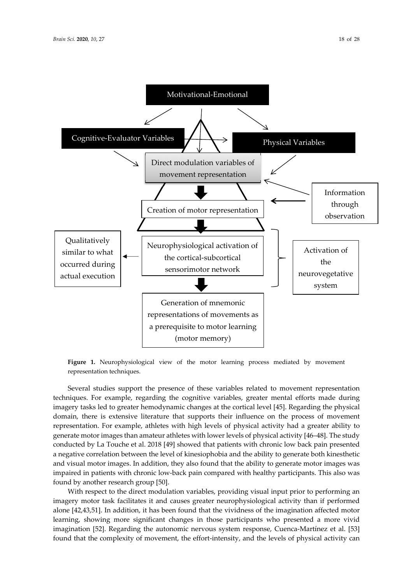

**Figure 1.** Neurophysiological view of the motor learning process mediated by movement representation techniques.

Several studies support the presence of these variables related to movement representation techniques. For example, regarding the cognitive variables, greater mental efforts made during imagery tasks led to greater hemodynamic changes at the cortical level [45]. Regarding the physical domain, there is extensive literature that supports their influence on the process of movement representation. For example, athletes with high levels of physical activity had a greater ability to generate motor images than amateur athletes with lower levels of physical activity [46–48]. The study conducted by La Touche et al. 2018 [49] showed that patients with chronic low back pain presented a negative correlation between the level of kinesiophobia and the ability to generate both kinesthetic and visual motor images. In addition, they also found that the ability to generate motor images was impaired in patients with chronic low-back pain compared with healthy participants. This also was found by another research group [50].

With respect to the direct modulation variables, providing visual input prior to performing an imagery motor task facilitates it and causes greater neurophysiological activity than if performed alone [42,43,51]. In addition, it has been found that the vividness of the imagination affected motor learning, showing more significant changes in those participants who presented a more vivid imagination [52]. Regarding the autonomic nervous system response, Cuenca-Martínez et al. [53] found that the complexity of movement, the effort-intensity, and the levels of physical activity can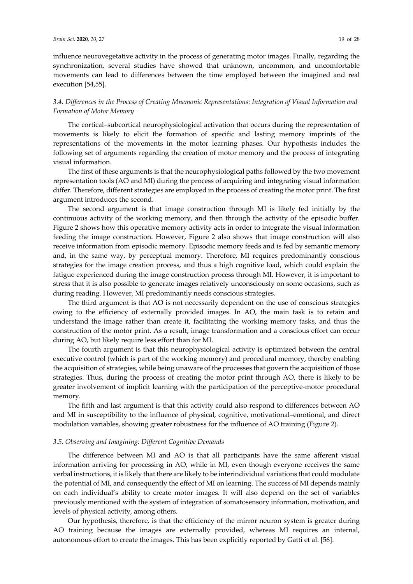influence neurovegetative activity in the process of generating motor images. Finally, regarding the synchronization, several studies have showed that unknown, uncommon, and uncomfortable movements can lead to differences between the time employed between the imagined and real execution [54,55].

## *3.4. Differences in the Process of Creating Mnemonic Representations: Integration of Visual Information and Formation of Motor Memory*

The cortical–subcortical neurophysiological activation that occurs during the representation of movements is likely to elicit the formation of specific and lasting memory imprints of the representations of the movements in the motor learning phases. Our hypothesis includes the following set of arguments regarding the creation of motor memory and the process of integrating visual information.

The first of these arguments is that the neurophysiological paths followed by the two movement representation tools (AO and MI) during the process of acquiring and integrating visual information differ. Therefore, different strategies are employed in the process of creating the motor print. The first argument introduces the second.

The second argument is that image construction through MI is likely fed initially by the continuous activity of the working memory, and then through the activity of the episodic buffer. Figure 2 shows how this operative memory activity acts in order to integrate the visual information feeding the image construction. However, Figure 2 also shows that image construction will also receive information from episodic memory. Episodic memory feeds and is fed by semantic memory and, in the same way, by perceptual memory. Therefore, MI requires predominantly conscious strategies for the image creation process, and thus a high cognitive load, which could explain the fatigue experienced during the image construction process through MI. However, it is important to stress that it is also possible to generate images relatively unconsciously on some occasions, such as during reading. However, MI predominantly needs conscious strategies.

The third argument is that AO is not necessarily dependent on the use of conscious strategies owing to the efficiency of externally provided images. In AO, the main task is to retain and understand the image rather than create it, facilitating the working memory tasks, and thus the construction of the motor print. As a result, image transformation and a conscious effort can occur during AO, but likely require less effort than for MI.

The fourth argument is that this neurophysiological activity is optimized between the central executive control (which is part of the working memory) and procedural memory, thereby enabling the acquisition of strategies, while being unaware of the processes that govern the acquisition of those strategies. Thus, during the process of creating the motor print through AO, there is likely to be greater involvement of implicit learning with the participation of the perceptive-motor procedural memory.

The fifth and last argument is that this activity could also respond to differences between AO and MI in susceptibility to the influence of physical, cognitive, motivational–emotional, and direct modulation variables, showing greater robustness for the influence of AO training (Figure 2).

#### *3.5. Observing and Imagining: Different Cognitive Demands*

The difference between MI and AO is that all participants have the same afferent visual information arriving for processing in AO, while in MI, even though everyone receives the same verbal instructions, it is likely that there are likely to be interindividual variations that could modulate the potential of MI, and consequently the effect of MI on learning. The success of MI depends mainly on each individual's ability to create motor images. It will also depend on the set of variables previously mentioned with the system of integration of somatosensory information, motivation, and levels of physical activity, among others.

Our hypothesis, therefore, is that the efficiency of the mirror neuron system is greater during AO training because the images are externally provided, whereas MI requires an internal, autonomous effort to create the images. This has been explicitly reported by Gatti et al. [56].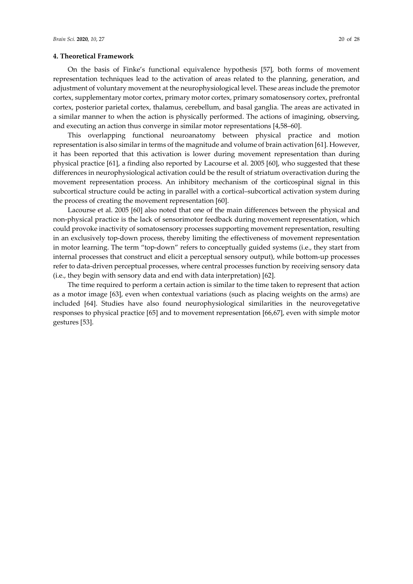#### **4. Theoretical Framework**

On the basis of Finke's functional equivalence hypothesis [57], both forms of movement representation techniques lead to the activation of areas related to the planning, generation, and adjustment of voluntary movement at the neurophysiological level. These areas include the premotor cortex, supplementary motor cortex, primary motor cortex, primary somatosensory cortex, prefrontal cortex, posterior parietal cortex, thalamus, cerebellum, and basal ganglia. The areas are activated in a similar manner to when the action is physically performed. The actions of imagining, observing, and executing an action thus converge in similar motor representations [4,58–60].

This overlapping functional neuroanatomy between physical practice and motion representation is also similar in terms of the magnitude and volume of brain activation [61]. However, it has been reported that this activation is lower during movement representation than during physical practice [61], a finding also reported by Lacourse et al. 2005 [60], who suggested that these differences in neurophysiological activation could be the result of striatum overactivation during the movement representation process. An inhibitory mechanism of the corticospinal signal in this subcortical structure could be acting in parallel with a cortical–subcortical activation system during the process of creating the movement representation [60].

Lacourse et al. 2005 [60] also noted that one of the main differences between the physical and non-physical practice is the lack of sensorimotor feedback during movement representation, which could provoke inactivity of somatosensory processes supporting movement representation, resulting in an exclusively top-down process, thereby limiting the effectiveness of movement representation in motor learning. The term "top-down" refers to conceptually guided systems (i.e., they start from internal processes that construct and elicit a perceptual sensory output), while bottom-up processes refer to data-driven perceptual processes, where central processes function by receiving sensory data (i.e., they begin with sensory data and end with data interpretation) [62].

The time required to perform a certain action is similar to the time taken to represent that action as a motor image [63], even when contextual variations (such as placing weights on the arms) are included [64]. Studies have also found neurophysiological similarities in the neurovegetative responses to physical practice [65] and to movement representation [66,67], even with simple motor gestures [53].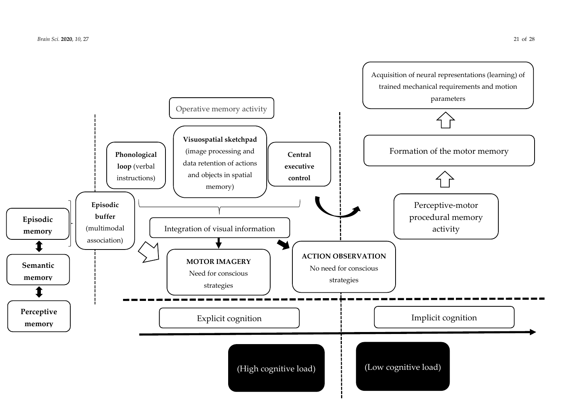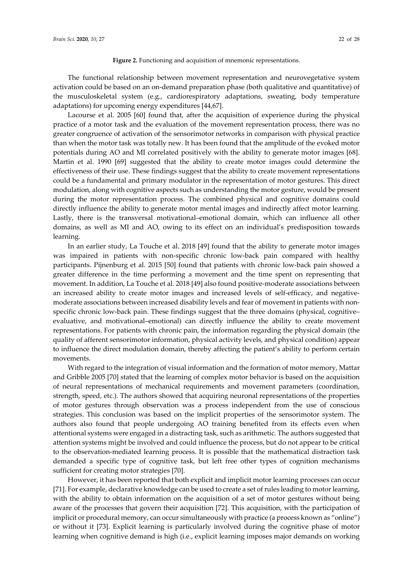#### Figure 2. Functioning and acquisition of mnemonic representations.

The functional relationship between movement representation and neurovegetative system activation could be based on an on-demand preparation phase (both qualitative and quantitative) of the musculoskeletal system (e.g., cardiorespiratory adaptations, sweating, body temperature adaptations) for upcoming energy expenditures [44,67].

Lacourse et al. 2005 [60] found that, after the acquisition of experience during the physical practice of a motor task and the evaluation of the movement representation process, there was no greater congruence of activation of the sensorimotor networks in comparison with physical practice than when the motor task was totally new. It has been found that the amplitude of the evoked motor potentials during AO and MI correlated positively with the ability to generate motor images [68]. Martin et al. 1990 [69] suggested that the ability to create motor images could determine the effectiveness of their use. These findings suggest that the ability to create movement representations could be a fundamental and primary modulator in the representation of motor gestures. This direct modulation, along with cognitive aspects such as understanding the motor gesture, would be present during the motor representation process. The combined physical and cognitive domains could directly influence the ability to generate motor mental images and indirectly affect motor learning. Lastly, there is the transversal motivational–emotional domain, which can influence all other domains, as well as MI and AO, owing to its effect on an individual's predisposition towards learning.

In an earlier study, La Touche et al. 2018 [49] found that the ability to generate motor images was impaired in patients with non-specific chronic low-back pain compared with healthy participants. Pijnenburg et al. 2015 [50] found that patients with chronic low-back pain showed a greater difference in the time performing a movement and the time spent on representing that movement. In addition, La Touche et al. 2018 [49] also found positive-moderate associations between an increased ability to create motor images and increased levels of self-efficacy, and negativemoderate associations between increased disability levels and fear of movement in patients with nonspecific chronic low-back pain. These findings suggest that the three domains (physical, cognitive– evaluative, and motivational–emotional) can directly influence the ability to create movement representations. For patients with chronic pain, the information regarding the physical domain (the quality of afferent sensorimotor information, physical activity levels, and physical condition) appear to influence the direct modulation domain, thereby affecting the patient's ability to perform certain movements.

With regard to the integration of visual information and the formation of motor memory, Mattar and Gribble 2005 [70] stated that the learning of complex motor behavior is based on the acquisition of neural representations of mechanical requirements and movement parameters (coordination, strength, speed, etc.). The authors showed that acquiring neuronal representations of the properties of motor gestures through observation was a process independent from the use of conscious strategies. This conclusion was based on the implicit properties of the sensorimotor system. The authors also found that people undergoing AO training benefited from its effects even when attentional systems were engaged in a distracting task, such as arithmetic. The authors suggested that attention systems might be involved and could influence the process, but do not appear to be critical to the observation-mediated learning process. It is possible that the mathematical distraction task demanded a specific type of cognitive task, but left free other types of cognition mechanisms sufficient for creating motor strategies [70].

However, it has been reported that both explicit and implicit motor learning processes can occur [71]. For example, declarative knowledge can be used to create a set of rules leading to motor learning, with the ability to obtain information on the acquisition of a set of motor gestures without being aware of the processes that govern their acquisition [72]. This acquisition, with the participation of implicit or procedural memory, can occur simultaneously with practice (a process known as "online") or without it [73]. Explicit learning is particularly involved during the cognitive phase of motor learning when cognitive demand is high (i.e., explicit learning imposes major demands on working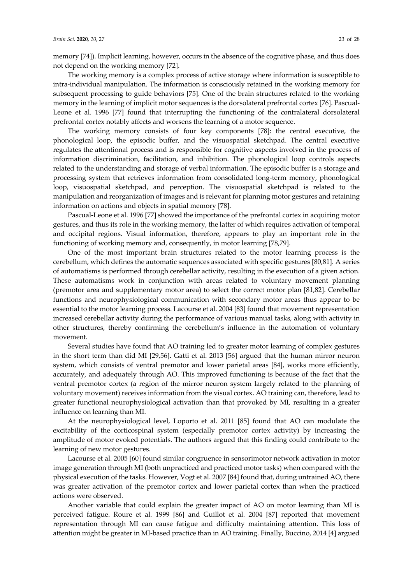memory [74]). Implicit learning, however, occurs in the absence of the cognitive phase, and thus does not depend on the working memory [72].

The working memory is a complex process of active storage where information is susceptible to intra-individual manipulation. The information is consciously retained in the working memory for subsequent processing to guide behaviors [75]. One of the brain structures related to the working memory in the learning of implicit motor sequences is the dorsolateral prefrontal cortex [76]. Pascual-Leone et al. 1996 [77] found that interrupting the functioning of the contralateral dorsolateral prefrontal cortex notably affects and worsens the learning of a motor sequence.

The working memory consists of four key components [78]: the central executive, the phonological loop, the episodic buffer, and the visuospatial sketchpad. The central executive regulates the attentional process and is responsible for cognitive aspects involved in the process of information discrimination, facilitation, and inhibition. The phonological loop controls aspects related to the understanding and storage of verbal information. The episodic buffer is a storage and processing system that retrieves information from consolidated long-term memory, phonological loop, visuospatial sketchpad, and perception. The visuospatial sketchpad is related to the manipulation and reorganization of images and is relevant for planning motor gestures and retaining information on actions and objects in spatial memory [78].

Pascual-Leone et al. 1996 [77] showed the importance of the prefrontal cortex in acquiring motor gestures, and thus its role in the working memory, the latter of which requires activation of temporal and occipital regions. Visual information, therefore, appears to play an important role in the functioning of working memory and, consequently, in motor learning [78,79].

One of the most important brain structures related to the motor learning process is the cerebellum, which defines the automatic sequences associated with specific gestures [80,81]. A series of automatisms is performed through cerebellar activity, resulting in the execution of a given action. These automatisms work in conjunction with areas related to voluntary movement planning (premotor area and supplementary motor area) to select the correct motor plan [81,82]. Cerebellar functions and neurophysiological communication with secondary motor areas thus appear to be essential to the motor learning process. Lacourse et al. 2004 [83] found that movement representation increased cerebellar activity during the performance of various manual tasks, along with activity in other structures, thereby confirming the cerebellum's influence in the automation of voluntary movement.

Several studies have found that AO training led to greater motor learning of complex gestures in the short term than did MI [29,56]. Gatti et al. 2013 [56] argued that the human mirror neuron system, which consists of ventral premotor and lower parietal areas [84], works more efficiently, accurately, and adequately through AO. This improved functioning is because of the fact that the ventral premotor cortex (a region of the mirror neuron system largely related to the planning of voluntary movement) receives information from the visual cortex. AO training can, therefore, lead to greater functional neurophysiological activation than that provoked by MI, resulting in a greater influence on learning than MI.

At the neurophysiological level, Loporto et al. 2011 [85] found that AO can modulate the excitability of the corticospinal system (especially premotor cortex activity) by increasing the amplitude of motor evoked potentials. The authors argued that this finding could contribute to the learning of new motor gestures.

Lacourse et al. 2005 [60] found similar congruence in sensorimotor network activation in motor image generation through MI (both unpracticed and practiced motor tasks) when compared with the physical execution of the tasks. However, Vogt et al. 2007 [84] found that, during untrained AO, there was greater activation of the premotor cortex and lower parietal cortex than when the practiced actions were observed.

Another variable that could explain the greater impact of AO on motor learning than MI is perceived fatigue. Roure et al. 1999 [86] and Guillot et al. 2004 [87] reported that movement representation through MI can cause fatigue and difficulty maintaining attention. This loss of attention might be greater in MI-based practice than in AO training. Finally, Buccino, 2014 [4] argued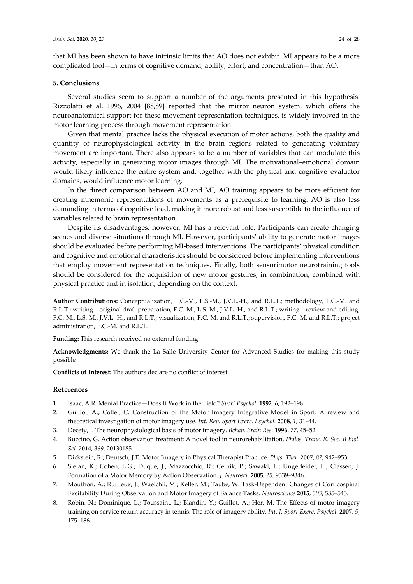that MI has been shown to have intrinsic limits that AO does not exhibit. MI appears to be a more complicated tool—in terms of cognitive demand, ability, effort, and concentration—than AO.

#### **5. Conclusions**

Several studies seem to support a number of the arguments presented in this hypothesis. Rizzolatti et al. 1996, 2004 [88,89] reported that the mirror neuron system, which offers the neuroanatomical support for these movement representation techniques, is widely involved in the motor learning process through movement representation

Given that mental practice lacks the physical execution of motor actions, both the quality and quantity of neurophysiological activity in the brain regions related to generating voluntary movement are important. There also appears to be a number of variables that can modulate this activity, especially in generating motor images through MI. The motivational–emotional domain would likely influence the entire system and, together with the physical and cognitive–evaluator domains, would influence motor learning.

In the direct comparison between AO and MI, AO training appears to be more efficient for creating mnemonic representations of movements as a prerequisite to learning. AO is also less demanding in terms of cognitive load, making it more robust and less susceptible to the influence of variables related to brain representation.

Despite its disadvantages, however, MI has a relevant role. Participants can create changing scenes and diverse situations through MI. However, participants' ability to generate motor images should be evaluated before performing MI-based interventions. The participants' physical condition and cognitive and emotional characteristics should be considered before implementing interventions that employ movement representation techniques. Finally, both sensorimotor neurotraining tools should be considered for the acquisition of new motor gestures, in combination, combined with physical practice and in isolation, depending on the context.

**Author Contributions:** Conceptualization, F.C.-M., L.S.-M., J.V.L.-H., and R.L.T.; methodology, F.C.-M. and R.L.T.; writing—original draft preparation, F.C.-M., L.S.-M., J.V.L.-H., and R.L.T.; writing—review and editing, F.C.-M., L.S.-M., J.V.L.-H., and R.L.T.; visualization, F.C.-M. and R.L.T.; supervision, F.C.-M. and R.L.T.; project administration, F.C.-M. and R.L.T.

**Funding:** This research received no external funding.

**Acknowledgments:** We thank the La Salle University Center for Advanced Studies for making this study possible

**Conflicts of Interest:** The authors declare no conflict of interest.

## **References**

- 1. Isaac, A.R. Mental Practice—Does It Work in the Field? *Sport Psychol.* **1992**, *6*, 192–198.
- 2. Guillot, A.; Collet, C. Construction of the Motor Imagery Integrative Model in Sport: A review and theoretical investigation of motor imagery use. *Int. Rev. Sport Exerc. Psychol.* **2008**, *1*, 31–44.
- 3. Decety, J. The neurophysiological basis of motor imagery. *Behav. Brain Res.* **1996**, *77*, 45–52.
- 4. Buccino, G. Action observation treatment: A novel tool in neurorehabilitation. *Philos. Trans. R. Soc. B Biol. Sci.* **2014**, *369*, 20130185.
- 5. Dickstein, R.; Deutsch, J.E. Motor Imagery in Physical Therapist Practice. *Phys. Ther.* **2007**, *87*, 942–953.
- 6. Stefan, K.; Cohen, L.G.; Duque, J.; Mazzocchio, R.; Celnik, P.; Sawaki, L.; Ungerleider, L.; Classen, J. Formation of a Motor Memory by Action Observation. *J. Neurosci.* **2005**, *25*, 9339–9346.
- 7. Mouthon, A.; Ruffieux, J.; Waelchli, M.; Keller, M.; Taube, W. Task-Dependent Changes of Corticospinal Excitability During Observation and Motor Imagery of Balance Tasks. *Neuroscience* **2015**, *303*, 535–543.
- 8. Robin, N.; Dominique, L.; Toussaint, L.; Blandin, Y.; Guillot, A.; Her, M. The Effects of motor imagery training on service return accuracy in tennis: The role of imagery ability. *Int. J. Sport Exerc. Psychol.* **2007**, *5*, 175–186.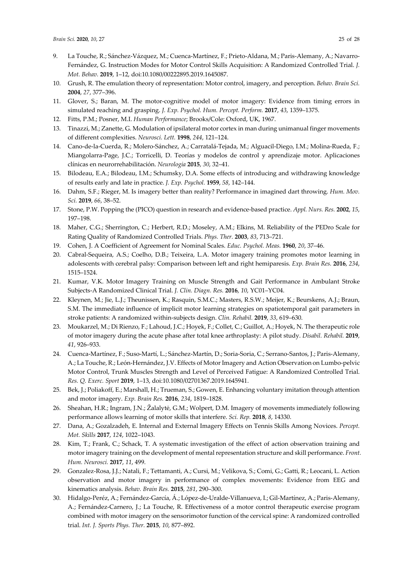- 9. La Touche, R.; Sánchez-Vázquez, M.; Cuenca-Martínez, F.; Prieto-Aldana, M.; Paris-Alemany, A.; Navarro-Fernández, G. Instruction Modes for Motor Control Skills Acquisition: A Randomized Controlled Trial. *J. Mot. Behav.* **2019**, 1–12, doi:10.1080/00222895.2019.1645087.
- 10. Grush, R. The emulation theory of representation: Motor control, imagery, and perception. *Behav. Brain Sci.*  **2004**, *27*, 377–396.
- 11. Glover, S.; Baran, M. The motor-cognitive model of motor imagery: Evidence from timing errors in simulated reaching and grasping. *J. Exp. Psychol. Hum. Percept. Perform.* **2017**, *43*, 1359–1375.
- 12. Fitts, P.M.; Posner, M.I. *Human Performance*; Brooks/Cole: Oxford, UK, 1967.
- 13. Tinazzi, M.; Zanette, G. Modulation of ipsilateral motor cortex in man during unimanual finger movements of different complexities. *Neurosci. Lett.* **1998**, *244*, 121–124.
- 14. Cano-de-la-Cuerda, R.; Molero-Sánchez, A.; Carratalá-Tejada, M.; Alguacil-Diego, I.M.; Molina-Rueda, F.; Miangolarra-Page, J.C.; Torricelli, D. Teorías y modelos de control y aprendizaje motor. Aplicaciones clínicas en neurorrehabilitación. *Neurologia* **2015**, *30*, 32–41.
- 15. Bilodeau, E.A.; Bilodeau, I.M.; Schumsky, D.A. Some effects of introducing and withdrawing knowledge of results early and late in practice. *J. Exp. Psychol.* **1959**, *58*, 142–144.
- 16. Dahm, S.F.; Rieger, M. Is imagery better than reality? Performance in imagined dart throwing. *Hum. Mov. Sci.* **2019**, *66*, 38–52.
- 17. Stone, P.W. Popping the (PICO) question in research and evidence-based practice. *Appl. Nurs. Res.* **2002**, *15*, 197–198.
- 18. Maher, C.G.; Sherrington, C.; Herbert, R.D.; Moseley, A.M.; Elkins, M. Reliability of the PEDro Scale for Rating Quality of Randomized Controlled Trials. *Phys. Ther.* **2003**, *83*, 713–721.
- 19. Cohen, J. A Coefficient of Agreement for Nominal Scales. *Educ. Psychol. Meas.* **1960**, *20*, 37–46.
- 20. Cabral-Sequeira, A.S.; Coelho, D.B.; Teixeira, L.A. Motor imagery training promotes motor learning in adolescents with cerebral palsy: Comparison between left and right hemiparesis. *Exp. Brain Res.* **2016**, *234*, 1515–1524.
- 21. Kumar, V.K. Motor Imagery Training on Muscle Strength and Gait Performance in Ambulant Stroke Subjects-A Randomized Clinical Trial. *J. Clin. Diagn. Res.* **2016**, *10*, YC01–YC04.
- 22. Kleynen, M.; Jie, L.J.; Theunissen, K.; Rasquin, S.M.C.; Masters, R.S.W.; Meijer, K.; Beurskens, A.J.; Braun, S.M. The immediate influence of implicit motor learning strategies on spatiotemporal gait parameters in stroke patients: A randomized within-subjects design. *Clin. Rehabil.* **2019**, *33*, 619–630.
- 23. Moukarzel, M.; Di Rienzo, F.; Lahoud, J.C.; Hoyek, F.; Collet, C.; Guillot, A.; Hoyek, N. The therapeutic role of motor imagery during the acute phase after total knee arthroplasty: A pilot study. *Disabil. Rehabil.* **2019**, *41*, 926–933.
- 24. Cuenca-Martínez, F.; Suso-Martí, L.; Sánchez-Martín, D.; Soria-Soria, C.; Serrano-Santos, J.; Paris-Alemany, A.; La Touche, R.; León-Hernández, J.V. Effects of Motor Imagery and Action Observation on Lumbo-pelvic Motor Control, Trunk Muscles Strength and Level of Perceived Fatigue: A Randomized Controlled Trial. *Res. Q. Exerc. Sport* **2019**, 1–13, doi:10.1080/02701367.2019.1645941.
- 25. Bek, J.; Poliakoff, E.; Marshall, H.; Trueman, S.; Gowen, E. Enhancing voluntary imitation through attention and motor imagery. *Exp. Brain Res.* **2016**, *234*, 1819–1828.
- 26. Sheahan, H.R.; Ingram, J.N.; Žalalytė, G.M.; Wolpert, D.M. Imagery of movements immediately following performance allows learning of motor skills that interfere. *Sci. Rep.* **2018**, *8*, 14330.
- 27. Dana, A.; Gozalzadeh, E. Internal and External Imagery Effects on Tennis Skills Among Novices. *Percept. Mot. Skills* **2017**, *124*, 1022–1043.
- 28. Kim, T.; Frank, C.; Schack, T. A systematic investigation of the effect of action observation training and motor imagery training on the development of mental representation structure and skill performance. *Front. Hum. Neurosci.* **2017**, *11*, 499.
- 29. Gonzalez-Rosa, J.J.; Natali, F.; Tettamanti, A.; Cursi, M.; Velikova, S.; Comi, G.; Gatti, R.; Leocani, L. Action observation and motor imagery in performance of complex movements: Evidence from EEG and kinematics analysis. *Behav. Brain Res.* **2015**, *281*, 290–300.
- 30. Hidalgo-Peréz, A.; Fernández-García, Á.; López-de-Uralde-Villanueva, I.; Gil-Martínez, A.; Paris-Alemany, A.; Fernández-Carnero, J.; La Touche, R. Effectiveness of a motor control therapeutic exercise program combined with motor imagery on the sensorimotor function of the cervical spine: A randomized controlled trial. *Int. J. Sports Phys. Ther.* **2015**, *10*, 877–892.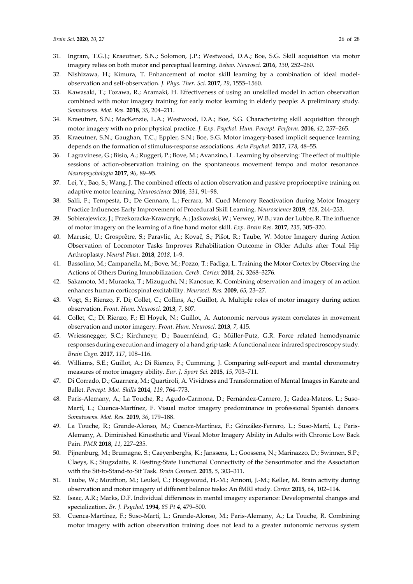- 31. Ingram, T.G.J.; Kraeutner, S.N.; Solomon, J.P.; Westwood, D.A.; Boe, S.G. Skill acquisition via motor imagery relies on both motor and perceptual learning. *Behav. Neurosci.* **2016**, *130*, 252–260.
- 32. Nishizawa, H.; Kimura, T. Enhancement of motor skill learning by a combination of ideal modelobservation and self-observation. *J. Phys. Ther. Sci.* **2017**, *29*, 1555–1560.
- 33. Kawasaki, T.; Tozawa, R.; Aramaki, H. Effectiveness of using an unskilled model in action observation combined with motor imagery training for early motor learning in elderly people: A preliminary study. *Somatosens. Mot. Res.* **2018**, *35*, 204–211.
- 34. Kraeutner, S.N.; MacKenzie, L.A.; Westwood, D.A.; Boe, S.G. Characterizing skill acquisition through motor imagery with no prior physical practice. *J. Exp. Psychol. Hum. Percept. Perform.* **2016**, *42*, 257–265.
- 35. Kraeutner, S.N.; Gaughan, T.C.; Eppler, S.N.; Boe, S.G. Motor imagery-based implicit sequence learning depends on the formation of stimulus-response associations. *Acta Psychol.* **2017**, *178*, 48–55.
- 36. Lagravinese, G.; Bisio, A.; Ruggeri, P.; Bove, M.; Avanzino, L. Learning by observing: The effect of multiple sessions of action-observation training on the spontaneous movement tempo and motor resonance. *Neuropsychologia* **2017**, *96*, 89–95.
- 37. Lei, Y.; Bao, S.; Wang, J. The combined effects of action observation and passive proprioceptive training on adaptive motor learning. *Neuroscience* **2016**, *331*, 91–98.
- 38. Salfi, F.; Tempesta, D.; De Gennaro, L.; Ferrara, M. Cued Memory Reactivation during Motor Imagery Practice Influences Early Improvement of Procedural Skill Learning. *Neuroscience* **2019**, *418*, 244–253.
- 39. Sobierajewicz, J.; Przekoracka-Krawczyk, A.; Jaśkowski, W.; Verwey, W.B.; van der Lubbe, R. The influence of motor imagery on the learning of a fine hand motor skill. *Exp. Brain Res.* **2017**, *235*, 305–320.
- 40. Marusic, U.; Grosprêtre, S.; Paravlic, A.; Kovač, S.; Pišot, R.; Taube, W. Motor Imagery during Action Observation of Locomotor Tasks Improves Rehabilitation Outcome in Older Adults after Total Hip Arthroplasty. *Neural Plast.* **2018**, *2018*, 1–9.
- 41. Bassolino, M.; Campanella, M.; Bove, M.; Pozzo, T.; Fadiga, L. Training the Motor Cortex by Observing the Actions of Others During Immobilization. *Cereb. Cortex* **2014**, *24*, 3268–3276.
- 42. Sakamoto, M.; Muraoka, T.; Mizuguchi, N.; Kanosue, K. Combining observation and imagery of an action enhances human corticospinal excitability. *Neurosci. Res.* **2009**, *65*, 23–27.
- 43. Vogt, S.; Rienzo, F. Di; Collet, C.; Collins, A.; Guillot, A. Multiple roles of motor imagery during action observation. *Front. Hum. Neurosci.* **2013**, *7*, 807.
- 44. Collet, C.; Di Rienzo, F.; El Hoyek, N.; Guillot, A. Autonomic nervous system correlates in movement observation and motor imagery. *Front. Hum. Neurosci.* **2013**, *7*, 415.
- 45. Wriessnegger, S.C.; Kirchmeyr, D.; Bauernfeind, G.; Müller-Putz, G.R. Force related hemodynamic responses during execution and imagery of a hand grip task: A functional near infrared spectroscopy study. *Brain Cogn.* **2017**, *117*, 108–116.
- 46. Williams, S.E.; Guillot, A.; Di Rienzo, F.; Cumming, J. Comparing self-report and mental chronometry measures of motor imagery ability. *Eur. J. Sport Sci.* **2015**, *15*, 703–711.
- 47. Di Corrado, D.; Guarnera, M.; Quartiroli, A. Vividness and Transformation of Mental Images in Karate and Ballet. *Percept. Mot. Skills* **2014**, *119*, 764–773.
- 48. Paris-Alemany, A.; La Touche, R.; Agudo-Carmona, D.; Fernández-Carnero, J.; Gadea-Mateos, L.; Suso-Martí, L.; Cuenca-Martínez, F. Visual motor imagery predominance in professional Spanish dancers. *Somatosens. Mot. Res.* **2019**, *36*, 179–188.
- 49. La Touche, R.; Grande-Alonso, M.; Cuenca-Martínez, F.; Gónzález-Ferrero, L.; Suso-Martí, L.; Paris-Alemany, A. Diminished Kinesthetic and Visual Motor Imagery Ability in Adults with Chronic Low Back Pain. *PMR* **2018**, *11*, 227–235.
- 50. Pijnenburg, M.; Brumagne, S.; Caeyenberghs, K.; Janssens, L.; Goossens, N.; Marinazzo, D.; Swinnen, S.P.; Claeys, K.; Siugzdaite, R. Resting-State Functional Connectivity of the Sensorimotor and the Association with the Sit-to-Stand-to-Sit Task. *Brain Connect.* **2015**, *5*, 303–311.
- 51. Taube, W.; Mouthon, M.; Leukel, C.; Hoogewoud, H.-M.; Annoni, J.-M.; Keller, M. Brain activity during observation and motor imagery of different balance tasks: An fMRI study. *Cortex* **2015**, *64*, 102–114.
- 52. Isaac, A.R.; Marks, D.F. Individual differences in mental imagery experience: Developmental changes and specialization. *Br. J. Psychol.* **1994**, *85 Pt 4*, 479–500.
- 53. Cuenca-Martínez, F.; Suso-Martí, L.; Grande-Alonso, M.; Paris-Alemany, A.; La Touche, R. Combining motor imagery with action observation training does not lead to a greater autonomic nervous system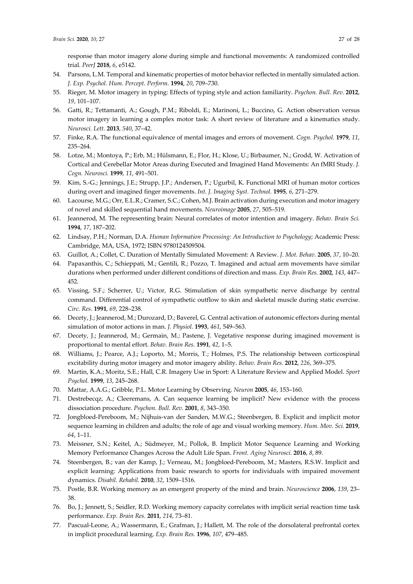response than motor imagery alone during simple and functional movements: A randomized controlled trial. *PeerJ* **2018**, *6*, e5142.

- 54. Parsons, L.M. Temporal and kinematic properties of motor behavior reflected in mentally simulated action. *J. Exp. Psychol. Hum. Percept. Perform.* **1994**, *20*, 709–730.
- 55. Rieger, M. Motor imagery in typing: Effects of typing style and action familiarity. *Psychon. Bull. Rev.* **2012**, *19*, 101–107.
- 56. Gatti, R.; Tettamanti, A.; Gough, P.M.; Riboldi, E.; Marinoni, L.; Buccino, G. Action observation versus motor imagery in learning a complex motor task: A short review of literature and a kinematics study. *Neurosci. Lett.* **2013**, *540*, 37–42.
- 57. Finke, R.A. The functional equivalence of mental images and errors of movement. *Cogn. Psychol.* **1979**, *11*, 235–264.
- 58. Lotze, M.; Montoya, P.; Erb, M.; Hülsmann, E.; Flor, H.; Klose, U.; Birbaumer, N.; Grodd, W. Activation of Cortical and Cerebellar Motor Areas during Executed and Imagined Hand Movements: An fMRI Study. *J. Cogn. Neurosci.* **1999**, *11*, 491–501.
- 59. Kim, S.-G.; Jennings, J.E.; Strupp, J.P.; Andersen, P.; Ugurbil, K. Functional MRI of human motor cortices during overt and imagined finger movements. *Int. J. Imaging Syst. Technol.* **1995**, *6*, 271–279.
- 60. Lacourse, M.G.; Orr, E.L.R.; Cramer, S.C.; Cohen, M.J. Brain activation during execution and motor imagery of novel and skilled sequential hand movements. *Neuroimage* **2005**, *27*, 505–519.
- 61. Jeannerod, M. The representing brain: Neural correlates of motor intention and imagery. *Behav. Brain Sci.* **1994**, *17*, 187–202.
- 62. Lindsay, P.H.; Norman, D.A. *Human Information Processing: An Introduction to Psychology*; Academic Press: Cambridge, MA, USA, 1972; ISBN 9780124509504.
- 63. Guillot, A.; Collet, C. Duration of Mentally Simulated Movement: A Review. *J. Mot. Behav.* **2005**, *37*, 10–20.
- 64. Papaxanthis, C.; Schieppati, M.; Gentili, R.; Pozzo, T. Imagined and actual arm movements have similar durations when performed under different conditions of direction and mass. *Exp. Brain Res.* **2002**, *143*, 447– 452.
- 65. Vissing, S.F.; Scherrer, U.; Victor, R.G. Stimulation of skin sympathetic nerve discharge by central command. Differential control of sympathetic outflow to skin and skeletal muscle during static exercise. *Circ. Res.* **1991**, *69*, 228–238.
- 66. Decety, J.; Jeannerod, M.; Durozard, D.; Baverel, G. Central activation of autonomic effectors during mental simulation of motor actions in man. *J. Physiol.* **1993**, *461*, 549–563.
- 67. Decety, J.; Jeannerod, M.; Germain, M.; Pastene, J. Vegetative response during imagined movement is proportional to mental effort. *Behav. Brain Res.* **1991**, *42*, 1–5.
- 68. Williams, J.; Pearce, A.J.; Loporto, M.; Morris, T.; Holmes, P.S. The relationship between corticospinal excitability during motor imagery and motor imagery ability. *Behav. Brain Res.* **2012**, *226*, 369–375.
- 69. Martin, K.A.; Moritz, S.E.; Hall, C.R. Imagery Use in Sport: A Literature Review and Applied Model. *Sport Psychol.* **1999**, *13*, 245–268.
- 70. Mattar, A.A.G.; Gribble, P.L. Motor Learning by Observing. *Neuron* **2005**, *46*, 153–160.
- 71. Destrebecqz, A.; Cleeremans, A. Can sequence learning be implicit? New evidence with the process dissociation procedure. *Psychon. Bull. Rev.* **2001**, *8*, 343–350.
- 72. Jongbloed-Pereboom, M.; Nijhuis-van der Sanden, M.W.G.; Steenbergen, B. Explicit and implicit motor sequence learning in children and adults; the role of age and visual working memory. *Hum. Mov. Sci.* **2019**, *64*, 1–11.
- 73. Meissner, S.N.; Keitel, A.; Südmeyer, M.; Pollok, B. Implicit Motor Sequence Learning and Working Memory Performance Changes Across the Adult Life Span. *Front. Aging Neurosci.* **2016**, *8*, 89.
- 74. Steenbergen, B.; van der Kamp, J.; Verneau, M.; Jongbloed-Pereboom, M.; Masters, R.S.W. Implicit and explicit learning: Applications from basic research to sports for individuals with impaired movement dynamics. *Disabil. Rehabil.* **2010**, *32*, 1509–1516.
- 75. Postle, B.R. Working memory as an emergent property of the mind and brain. *Neuroscience* **2006**, *139*, 23– 38.
- 76. Bo, J.; Jennett, S.; Seidler, R.D. Working memory capacity correlates with implicit serial reaction time task performance. *Exp. Brain Res.* **2011**, *214*, 73–81.
- 77. Pascual-Leone, A.; Wassermann, E.; Grafman, J.; Hallett, M. The role of the dorsolateral prefrontal cortex in implicit procedural learning. *Exp. Brain Res.* **1996**, *107*, 479–485.